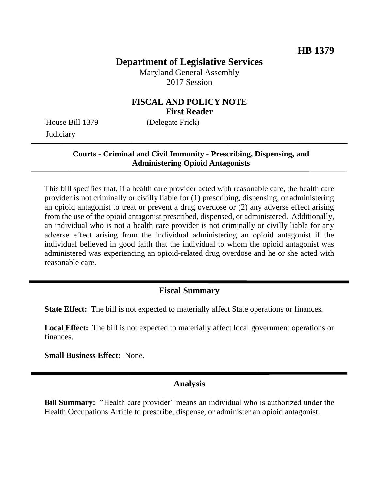# **Department of Legislative Services**

Maryland General Assembly 2017 Session

#### **FISCAL AND POLICY NOTE First Reader**

**Judiciary** 

House Bill 1379 (Delegate Frick)

#### **Courts - Criminal and Civil Immunity - Prescribing, Dispensing, and Administering Opioid Antagonists**

This bill specifies that, if a health care provider acted with reasonable care, the health care provider is not criminally or civilly liable for (1) prescribing, dispensing, or administering an opioid antagonist to treat or prevent a drug overdose or (2) any adverse effect arising from the use of the opioid antagonist prescribed, dispensed, or administered. Additionally, an individual who is not a health care provider is not criminally or civilly liable for any adverse effect arising from the individual administering an opioid antagonist if the individual believed in good faith that the individual to whom the opioid antagonist was administered was experiencing an opioid-related drug overdose and he or she acted with reasonable care.

# **Fiscal Summary**

**State Effect:** The bill is not expected to materially affect State operations or finances.

**Local Effect:** The bill is not expected to materially affect local government operations or finances.

**Small Business Effect:** None.

### **Analysis**

**Bill Summary:** "Health care provider" means an individual who is authorized under the Health Occupations Article to prescribe, dispense, or administer an opioid antagonist.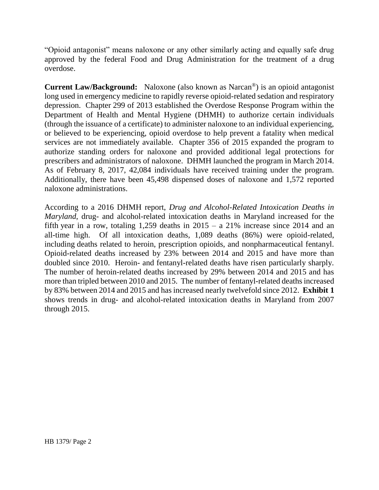"Opioid antagonist" means naloxone or any other similarly acting and equally safe drug approved by the federal Food and Drug Administration for the treatment of a drug overdose.

**Current Law/Background:** Naloxone (also known as Narcan®) is an opioid antagonist long used in emergency medicine to rapidly reverse opioid-related sedation and respiratory depression. Chapter 299 of 2013 established the Overdose Response Program within the Department of Health and Mental Hygiene (DHMH) to authorize certain individuals (through the issuance of a certificate) to administer naloxone to an individual experiencing, or believed to be experiencing, opioid overdose to help prevent a fatality when medical services are not immediately available. Chapter 356 of 2015 expanded the program to authorize standing orders for naloxone and provided additional legal protections for prescribers and administrators of naloxone. DHMH launched the program in March 2014. As of February 8, 2017, 42,084 individuals have received training under the program. Additionally, there have been 45,498 dispensed doses of naloxone and 1,572 reported naloxone administrations.

According to a 2016 DHMH report, *Drug and Alcohol-Related Intoxication Deaths in Maryland*, drug- and alcohol-related intoxication deaths in Maryland increased for the fifth year in a row, totaling 1,259 deaths in  $2015 - a$  21% increase since 2014 and an all-time high. Of all intoxication deaths, 1,089 deaths (86%) were opioid-related, including deaths related to heroin, prescription opioids, and nonpharmaceutical fentanyl. Opioid-related deaths increased by 23% between 2014 and 2015 and have more than doubled since 2010. Heroin- and fentanyl-related deaths have risen particularly sharply. The number of heroin-related deaths increased by 29% between 2014 and 2015 and has more than tripled between 2010 and 2015. The number of fentanyl-related deaths increased by 83% between 2014 and 2015 and has increased nearly twelvefold since 2012. **Exhibit 1** shows trends in drug- and alcohol-related intoxication deaths in Maryland from 2007 through 2015.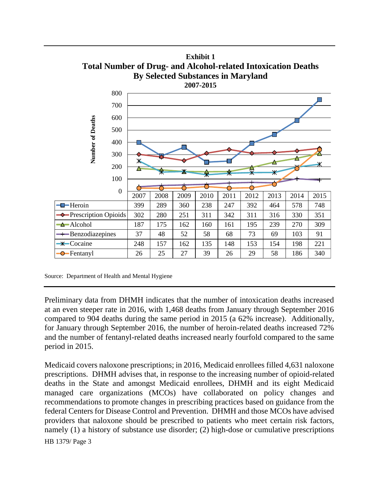

Preliminary data from DHMH indicates that the number of intoxication deaths increased at an even steeper rate in 2016, with 1,468 deaths from January through September 2016 compared to 904 deaths during the same period in 2015 (a 62% increase). Additionally, for January through September 2016, the number of heroin-related deaths increased 72% and the number of fentanyl-related deaths increased nearly fourfold compared to the same period in 2015.

HB 1379/ Page 3 Medicaid covers naloxone prescriptions; in 2016, Medicaid enrollees filled 4,631 naloxone prescriptions. DHMH advises that, in response to the increasing number of opioid-related deaths in the State and amongst Medicaid enrollees, DHMH and its eight Medicaid managed care organizations (MCOs) have collaborated on policy changes and recommendations to promote changes in prescribing practices based on guidance from the federal Centers for Disease Control and Prevention. DHMH and those MCOs have advised providers that naloxone should be prescribed to patients who meet certain risk factors, namely (1) a history of substance use disorder; (2) high-dose or cumulative prescriptions

Source: Department of Health and Mental Hygiene